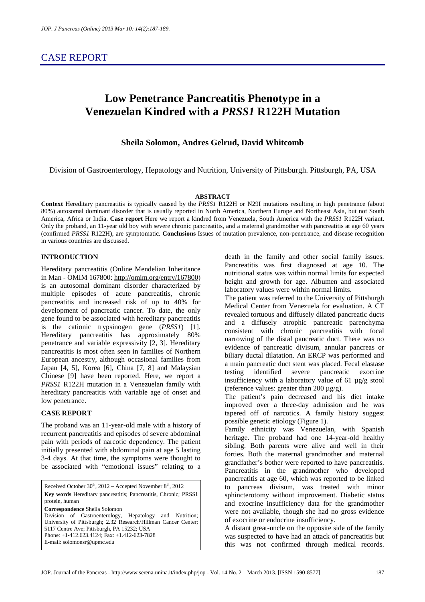# CASE REPORT

# **Low Penetrance Pancreatitis Phenotype in a Venezuelan Kindred with a** *PRSS1* **R122H Mutation**

## **Sheila Solomon, Andres Gelrud, David Whitcomb**

Division of Gastroenterology, Hepatology and Nutrition, University of Pittsburgh. Pittsburgh, PA, USA

#### **ABSTRACT**

**Context** Hereditary pancreatitis is typically caused by the *PRSS1* R122H or N29I mutations resulting in high penetrance (about 80%) autosomal dominant disorder that is usually reported in North America, Northern Europe and Northeast Asia, but not South America, Africa or India. **Case report** Here we report a kindred from Venezuela, South America with the *PRSS1* R122H variant. Only the proband, an 11-year old boy with severe chronic pancreatitis, and a maternal grandmother with pancreatitis at age 60 years (confirmed *PRSS1* R122H), are symptomatic. **Conclusions** Issues of mutation prevalence, non-penetrance, and disease recognition in various countries are discussed.

#### **INTRODUCTION**

Hereditary pancreatitis (Online Mendelian Inheritance in Man - OMIM 167800: http://omim.org/entry/167800) is an autosomal dominant disorder characterized by multiple episodes of acute pancreatitis, chronic pancreatitis and increased risk of up to 40% for development of pancreatic cancer. To date, the only gene found to be associated with hereditary pancreatitis is the cationic trypsinogen gene (*PRSS1*) [1]. Hereditary pancreatitis has approximately 80% penetrance and variable expressivity [2, 3]. Hereditary pancreatitis is most often seen in families of Northern European ancestry, although occasional families from Japan [4, 5], Korea [6], China [7, 8] and Malaysian Chinese [9] have been reported. Here, we report a *PRSS1* R122H mutation in a Venezuelan family with hereditary pancreatitis with variable age of onset and low penetrance.

## **CASE REPORT**

The proband was an 11-year-old male with a history of recurrent pancreatitis and episodes of severe abdominal pain with periods of narcotic dependency. The patient initially presented with abdominal pain at age 5 lasting 3-4 days. At that time, the symptoms were thought to be associated with "emotional issues" relating to a

Received October  $30<sup>th</sup>$ ,  $2012$  – Accepted November  $8<sup>th</sup>$ ,  $2012$ **Key words** Hereditary pancreatitis; Pancreatitis, Chronic; PRSS1 protein, human

**Correspondence** Sheila Solomon Division of Gastroenterology, Hepatology and Nutrition; University of Pittsburgh; 2.32 Research/Hillman Cancer Center; 5117 Centre Ave; Pittsburgh, PA 15232; USA Phone: +1-412.623.4124; Fax: +1.412-623-7828 E-mail: solomonsr@upmc.edu

death in the family and other social family issues. Pancreatitis was first diagnosed at age 10. The nutritional status was within normal limits for expected height and growth for age. Albumen and associated laboratory values were within normal limits.

The patient was referred to the University of Pittsburgh Medical Center from Venezuela for evaluation. A CT revealed tortuous and diffusely dilated pancreatic ducts and a diffusely atrophic pancreatic parenchyma consistent with chronic pancreatitis with focal narrowing of the distal pancreatic duct. There was no evidence of pancreatic divisum, annular pancreas or biliary ductal dilatation. An ERCP was performed and a main pancreatic duct stent was placed. Fecal elastase testing identified severe pancreatic exocrine insufficiency with a laboratory value of 61  $\mu$ g/g stool (reference values: greater than  $200 \mu g/g$ ).

The patient's pain decreased and his diet intake improved over a three-day admission and he was tapered off of narcotics. A family history suggest possible genetic etiology (Figure 1).

Family ethnicity was Venezuelan, with Spanish heritage. The proband had one 14-year-old healthy sibling. Both parents were alive and well in their forties. Both the maternal grandmother and maternal grandfather's bother were reported to have pancreatitis. Pancreatitis in the grandmother who developed pancreatitis at age 60, which was reported to be linked to pancreas divisum, was treated with minor sphincterotomy without improvement. Diabetic status and exocrine insufficiency data for the grandmother were not available, though she had no gross evidence of exocrine or endocrine insufficiency.

A distant great-uncle on the opposite side of the family was suspected to have had an attack of pancreatitis but this was not confirmed through medical records.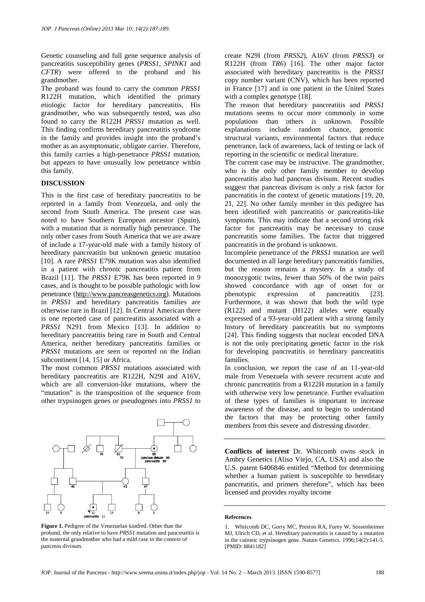Genetic counseling and full gene sequence analysis of pancreatitis susceptibility genes (*PRSS1*, *SPINK1* and *CFTR*) were offered to the proband and his grandmother.

The proband was found to carry the common *PRSS1* R122H mutation, which identified the primary etiologic factor for hereditary pancreatitis. His grandmother, who was subsequently tested, was also found to carry the R122H *PRSS1* mutation as well. This finding confirms hereditary pancreatitis syndrome in the family and provides insight into the proband's mother as an asymptomatic, obligate carrier. Therefore, this family carries a high-penetrance *PRSS1* mutation, but appears to have unusually low penetrance within this family.

#### **DISCUSSION**

This is the first case of hereditary pancreatitis to be reported in a family from Venezuela, and only the second from South America. The present case was noted to have Southern European ancestor (Spain), with a mutation that is normally high penetrance. The only other cases from South America that we are aware of include a 17-year-old male with a family history of hereditary pancreatitis but unknown genetic mutation [10]. A rare *PRSS1* E79K mutation was also identified in a patient with chronic pancreatitis patient from Brazil [11]. The *PRSS1* E79K has been reported in 9 cases, and is thought to be possible pathologic with low penetrance (http://www.pancreasgenetics.org). Mutations in *PRSS1* and hereditary pancreatitis families are otherwise rare in Brazil [12]. In Central American there is one reported case of pancreatitis associated with a *PRSS1* N291 from Mexico [13]. In addition to hereditary pancreatitis being rare in South and Central America, neither hereditary pancreatitis families or *PRSS1* mutations are seen or reported on the Indian subcontinent [14, 15] or Africa.

The most common *PRSS1* mutations associated with hereditary pancreatitis are R122H, N29I and A16V, which are all conversion-like mutations, where the "mutation" is the transposition of the sequence from other trypsinogen genes or pseudogenes into *PRSS1* to



**Figure 1.** Pedigree of the Venezuelan kindred. Other than the proband, the only relative to have *PRSS1* mutation and pancreatitis is the maternal grandmother who had a mild case in the context of pancreas divisum.

create N29I (from *PRSS2*), A16V (from *PRSS3*) or R122H (from *TR6*) [16]. The other major factor associated with hereditary pancreatitis is the *PRSS1* copy number variant (CNV), which has been reported in France [17] and in one patient in the United States with a complex genotype [18].

The reason that hereditary pancreatitis and *PRSS1* mutations seems to occur more commonly in some populations than others is unknown. Possible explanations include random chance, genomic structural variants, environmental factors that reduce penetrance, lack of awareness, lack of testing or lack of reporting in the scientific or medical literature.

The current case may be instructive. The grandmother, who is the only other family member to develop pancreatitis also had pancreas divisum. Recent studies suggest that pancreas divisum is only a risk factor for pancreatitis in the context of genetic mutations [19, 20, 21, 22]. No other family member in this pedigree has been identified with pancreatitis or pancreatitis-like symptoms. This may indicate that a second strong risk factor for pancreatitis may be necessary to cause pancreatitis some families. The factor that triggered pancreatitis in the proband is unknown.

Incomplete penetrance of the *PRSS1* mutation are well documented in all large hereditary pancreatitis families, but the reason remains a mystery. In a study of monozygotic twins, fewer than 50% of the twin pairs showed concordance with age of onset for or phenotypic expression of pancreatitis [23]. Furthermore, it was shown that both the wild type (R122) and mutant (H122) alleles were equally expressed of a 93-year-old patient with a strong family history of hereditary pancreatitis but no symptoms [24]. This finding suggests that nuclear encoded DNA is not the only precipitating genetic factor in the risk for developing pancreatitis in hereditary pancreatitis families.

In conclusion, we report the case of an 11-year-old male from Venezuela with severe recurrent acute and chronic pancreatitis from a R122H mutation in a family with otherwise very low penetrance. Further evaluation of these types of families is important to increase awareness of the disease, and to begin to understand the factors that may be protecting other family members from this severe and distressing disorder.

**Conflicts of interest** Dr. Whitcomb owns stock in Ambry Genetics (Aliso Viejo, CA, USA) and also the U.S. patent 6406846 entitled "Method for determining whether a human patient is susceptible to hereditary pancreatitis, and primers therefore", which has been licensed and provides royalty income

#### **References**

<sup>1.</sup> Whitcomb DC, Gorry MC, Preston RA, Furey W, Sossenheimer MJ, Ulrich CD, et al. Hereditary pancreatitis is caused by a mutation in the cationic trypsinogen gene. Nature Genetics. 1996;14(2):141-5. [PMID: 8841182]